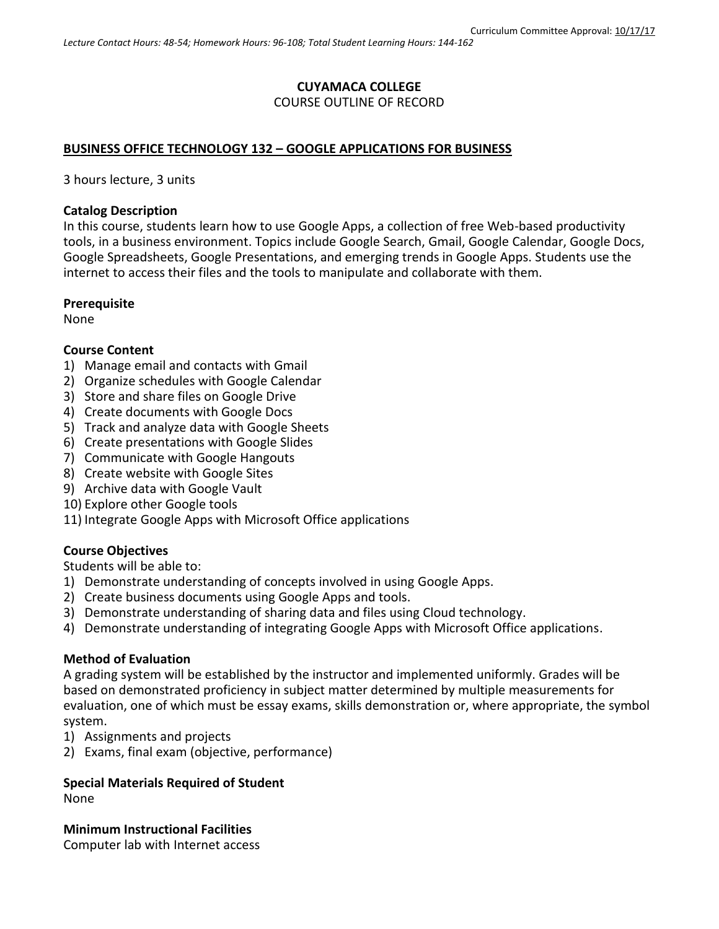#### **CUYAMACA COLLEGE** COURSE OUTLINE OF RECORD

# **BUSINESS OFFICE TECHNOLOGY 132 – GOOGLE APPLICATIONS FOR BUSINESS**

3 hours lecture, 3 units

#### **Catalog Description**

In this course, students learn how to use Google Apps, a collection of free Web-based productivity tools, in a business environment. Topics include Google Search, Gmail, Google Calendar, Google Docs, Google Spreadsheets, Google Presentations, and emerging trends in Google Apps. Students use the internet to access their files and the tools to manipulate and collaborate with them.

#### **Prerequisite**

None

#### **Course Content**

- 1) Manage email and contacts with Gmail
- 2) Organize schedules with Google Calendar
- 3) Store and share files on Google Drive
- 4) Create documents with Google Docs
- 5) Track and analyze data with Google Sheets
- 6) Create presentations with Google Slides
- 7) Communicate with Google Hangouts
- 8) Create website with Google Sites
- 9) Archive data with Google Vault
- 10) Explore other Google tools
- 11) Integrate Google Apps with Microsoft Office applications

### **Course Objectives**

Students will be able to:

- 1) Demonstrate understanding of concepts involved in using Google Apps.
- 2) Create business documents using Google Apps and tools.
- 3) Demonstrate understanding of sharing data and files using Cloud technology.
- 4) Demonstrate understanding of integrating Google Apps with Microsoft Office applications.

### **Method of Evaluation**

A grading system will be established by the instructor and implemented uniformly. Grades will be based on demonstrated proficiency in subject matter determined by multiple measurements for evaluation, one of which must be essay exams, skills demonstration or, where appropriate, the symbol system.

- 1) Assignments and projects
- 2) Exams, final exam (objective, performance)

# **Special Materials Required of Student**

None

**Minimum Instructional Facilities** Computer lab with Internet access